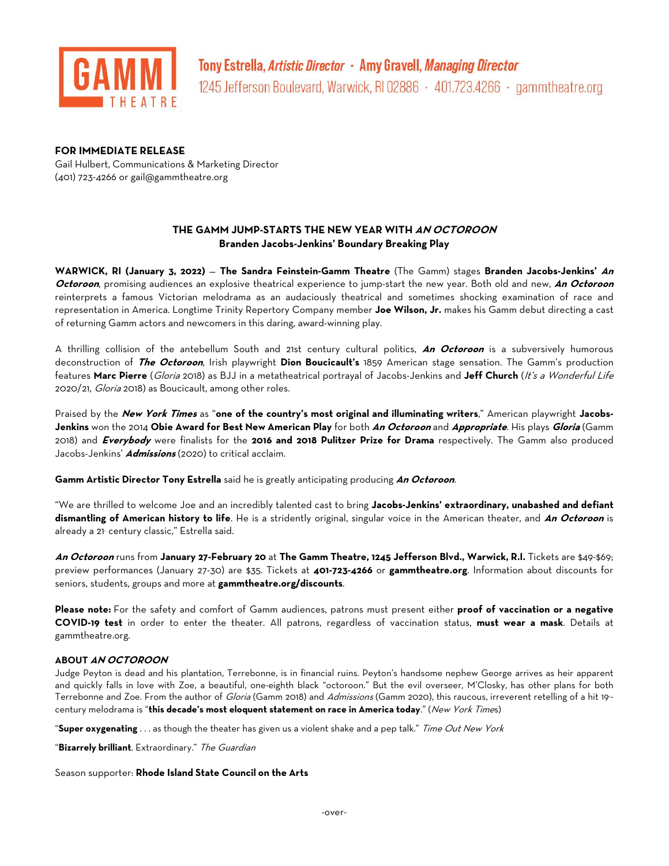

### **FOR IMMEDIATE RELEASE**

Gail Hulbert, Communications & Marketing Director (401) 723-4266 or [gail@gammtheatre.org](mailto:gail@gammtheatre.org)

# **THE GAMM JUMP-STARTS THE NEW YEAR WITH AN OCTOROON Branden Jacobs-Jenkins' Boundary Breaking Play**

**WARWICK, RI (January 3, 2022)** — **The Sandra Feinstein-Gamm Theatre** (The Gamm) stages **Branden Jacobs-Jenkins' An Octoroon**, promising audiences an explosive theatrical experience to jump-start the new year. Both old and new, **An Octoroon** reinterprets a famous Victorian melodrama as an audaciously theatrical and sometimes shocking examination of race and representation in America. Longtime Trinity Repertory Company member **Joe Wilson, Jr.** makes his Gamm debut directing a cast of returning Gamm actors and newcomers in this daring, award-winning play.

A thrilling collision of the antebellum South and 21st century cultural politics, **An Octoroon** is a subversively humorous deconstruction of **The Octoroon**, Irish playwright **Dion Boucicault's** 1859 American stage sensation. The Gamm's production features **Marc Pierre** (Gloria 2018) as BJJ in a metatheatrical portrayal of Jacobs-Jenkins and **Jeff Church** (It's a Wonderful Life 2020/21, Gloria 2018) as Boucicault, among other roles.

Praised by the **New York Times** as "**one of the country's most original and illuminating writers**," American playwright **Jacobs-Jenkins** won the 2014 **Obie Award for Best New American Play** for both **An Octoroon** and **Appropriate**. His plays **Gloria** (Gamm 2018) and **Everybody** were finalists for the **2016 and 2018 Pulitzer Prize for Drama** respectively. The Gamm also produced Jacobs-Jenkins' **Admissions** (2020) to critical acclaim.

**Gamm Artistic Director Tony Estrella** said he is greatly anticipating producing **An Octoroon**.

"We are thrilled to welcome Joe and an incredibly talented cast to bring **Jacobs-Jenkins' extraordinary, unabashed and defiant dismantling of American history to life**. He is a stridently original, singular voice in the American theater, and **An Octoroon** is already a 21 century classic," Estrella said.

**An Octoroon** runs from **January 27-February 20** at **The Gamm Theatre, 1245 Jefferson Blvd., Warwick, R.I.** Tickets are \$49-\$69; preview performances (January 27-30) are \$35. Tickets at **401-723-4266** or **gammtheatre.org**. Information about discounts for seniors, students, groups and more at **gammtheatre.org/discounts**.

**Please note:** For the safety and comfort of Gamm audiences, patrons must present either **proof of vaccination or a negative COVID-19 test** in order to enter the theater. All patrons, regardless of vaccination status, **must wear a mask**. Details at gammtheatre.org.

### **ABOUT AN OCTOROON**

Judge Peyton is dead and his plantation, Terrebonne, is in financial ruins. Peyton's handsome nephew George arrives as heir apparent and quickly falls in love with Zoe, a beautiful, one-eighth black "octoroon." But the evil overseer, M'Closky, has other plans for both Terrebonne and Zoe. From the author of *Gloria* (Gamm 2018) and *Admissions* (Gamm 2020), this raucous, irreverent retelling of a hit 19century melodrama is "**this decade's most eloquent statement on race in America today**." (New York Times)

"**Super oxygenating** . . . as though the theater has given us a violent shake and a pep talk." Time Out New York

"**Bizarrely brilliant**. Extraordinary." The Guardian

Season supporter: **Rhode Island State Council on the Arts**